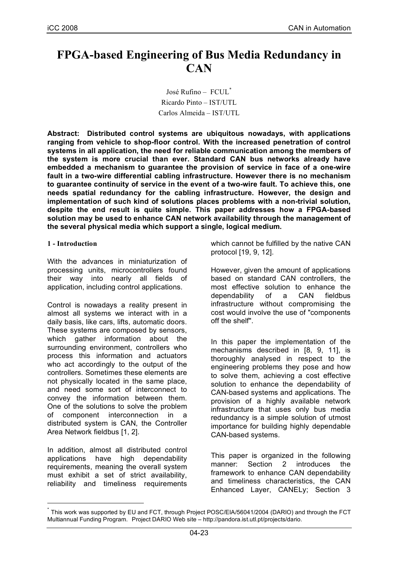# **FPGA-based Engineering of Bus Media Redundancy in CAN**

José Rufino – FCUL\* Ricardo Pinto – IST/UTL Carlos Almeida – IST/UTL

**Abstract: Distributed control systems are ubiquitous nowadays, with applications ranging from vehicle to shop-floor control. With the increased penetration of control systems in all application, the need for reliable communication among the members of the system is more crucial than ever. Standard CAN bus networks already have embedded a mechanism to guarantee the provision of service in face of a one-wire fault in a two-wire differential cabling infrastructure. However there is no mechanism to guarantee continuity of service in the event of a two-wire fault. To achieve this, one needs spatial redundancy for the cabling infrastructure. However, the design and implementation of such kind of solutions places problems with a non-trivial solution, despite the end result is quite simple. This paper addresses how a FPGA-based solution may be used to enhance CAN network availability through the management of the several physical media which support a single, logical medium.**

#### **1 - Introduction**

With the advances in miniaturization of processing units, microcontrollers found their way into nearly all fields of application, including control applications.

Control is nowadays a reality present in almost all systems we interact with in a daily basis, like cars, lifts, automatic doors. These systems are composed by sensors, which gather information about the surrounding environment, controllers who process this information and actuators who act accordingly to the output of the controllers. Sometimes these elements are not physically located in the same place, and need some sort of interconnect to convey the information between them. One of the solutions to solve the problem of component interconnection in a distributed system is CAN, the Controller Area Network fieldbus [1, 2].

In addition, almost all distributed control applications have high dependability requirements, meaning the overall system must exhibit a set of strict availability, reliability and timeliness requirements which cannot be fulfilled by the native CAN protocol [19, 9, 12].

However, given the amount of applications based on standard CAN controllers, the most effective solution to enhance the dependability of a CAN fieldbus infrastructure without compromising the cost would involve the use of "components off the shelf".

In this paper the implementation of the mechanisms described in [8, 9, 11], is thoroughly analysed in respect to the engineering problems they pose and how to solve them, achieving a cost effective solution to enhance the dependability of CAN-based systems and applications. The provision of a highly available network infrastructure that uses only bus media redundancy is a simple solution of utmost importance for building highly dependable CAN-based systems.

This paper is organized in the following manner: Section 2 introduces the framework to enhance CAN dependability and timeliness characteristics, the CAN Enhanced Layer, CANELy; Section 3

 $^{*}$  This work was supported by EU and FCT, through Project POSC/EIA/56041/2004 (DARIO) and through the FCT Multiannual Funding Program. Project DARIO Web site – http://pandora.ist.utl.pt/projects/dario.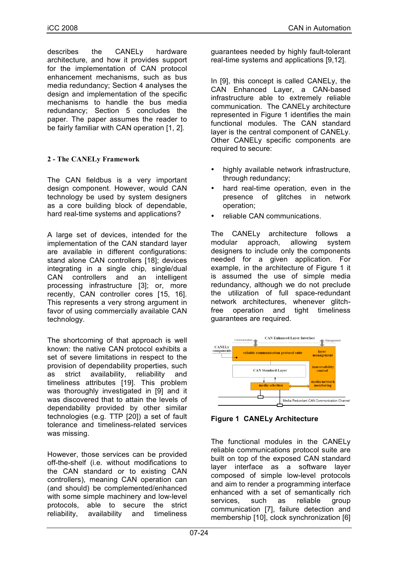describes the CANELy hardware architecture, and how it provides support for the implementation of CAN protocol enhancement mechanisms, such as bus media redundancy; Section 4 analyses the design and implementation of the specific mechanisms to handle the bus media redundancy; Section 5 concludes the paper. The paper assumes the reader to be fairly familiar with CAN operation [1, 2].

# **2 - The CANELy Framework**

The CAN fieldbus is a very important design component. However, would CAN technology be used by system designers as a core building block of dependable, hard real-time systems and applications?

A large set of devices, intended for the implementation of the CAN standard layer are available in different configurations: stand alone CAN controllers [18]; devices integrating in a single chip, single/dual CAN controllers and an intelligent processing infrastructure [3]; or, more recently, CAN controller cores [15, 16]. This represents a very strong argument in favor of using commercially available CAN technology.

The shortcoming of that approach is well known: the native CAN protocol exhibits a set of severe limitations in respect to the provision of dependability properties, such as strict availability, reliability and timeliness attributes [19]. This problem was thoroughly investigated in [9] and it was discovered that to attain the levels of dependability provided by other similar technologies (e.g. TTP [20]) a set of fault tolerance and timeliness-related services was missing.

However, those services can be provided off-the-shelf (i.e. without modifications to the CAN standard or to existing CAN controllers), meaning CAN operation can (and should) be complemented/enhanced with some simple machinery and low-level protocols, able to secure the strict reliability, availability and timeliness guarantees needed by highly fault-tolerant real-time systems and applications [9,12].

In [9], this concept is called CANELy, the CAN Enhanced Layer, a CAN-based infrastructure able to extremely reliable communication. The CANELy architecture represented in Figure 1 identifies the main functional modules. The CAN standard layer is the central component of CANELy. Other CANELy specific components are required to secure:

- highly available network infrastructure, through redundancy;
- hard real-time operation, even in the presence of glitches in network operation;
- reliable CAN communications.

The CANELy architecture follows a modular approach, allowing system designers to include only the components needed for a given application. For example, in the architecture of Figure 1 it is assumed the use of simple media redundancy, although we do not preclude the utilization of full space-redundant network architectures, whenever glitchfree operation and tight timeliness guarantees are required.



**Figure 1 CANELy Architecture**

The functional modules in the CANELy reliable communications protocol suite are built on top of the exposed CAN standard layer interface as a software layer composed of simple low-level protocols and aim to render a programming interface enhanced with a set of semantically rich services, such as reliable group communication [7], failure detection and membership [10], clock synchronization [6]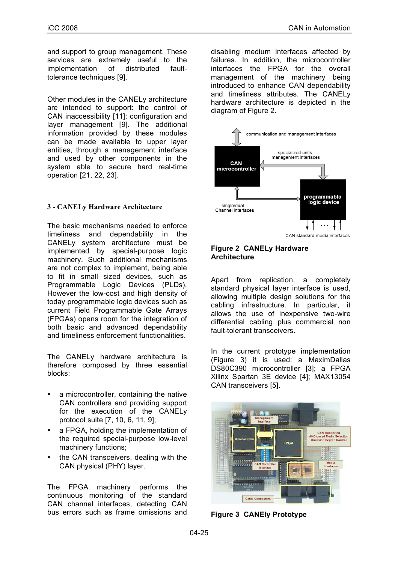and support to group management. These services are extremely useful to the implementation of distributed faulttolerance techniques [9].

Other modules in the CANELy architecture are intended to support: the control of CAN inaccessibility [11]; configuration and layer management [9]. The additional information provided by these modules can be made available to upper layer entities, through a management interface and used by other components in the system able to secure hard real-time operation [21, 22, 23].

# **3 - CANELy Hardware Architecture**

The basic mechanisms needed to enforce timeliness and dependability in the CANELy system architecture must be implemented by special-purpose logic machinery. Such additional mechanisms are not complex to implement, being able to fit in small sized devices, such as Programmable Logic Devices (PLDs). However the low-cost and high density of today programmable logic devices such as current Field Programmable Gate Arrays (FPGAs) opens room for the integration of both basic and advanced dependability and timeliness enforcement functionalities.

The CANELy hardware architecture is therefore composed by three essential blocks:

- a microcontroller, containing the native CAN controllers and providing support for the execution of the CANELy protocol suite [7, 10, 6, 11, 9];
- a FPGA, holding the implementation of the required special-purpose low-level machinery functions;
- the CAN transceivers, dealing with the CAN physical (PHY) layer.

The FPGA machinery performs the continuous monitoring of the standard CAN channel interfaces, detecting CAN bus errors such as frame omissions and

disabling medium interfaces affected by failures. In addition, the microcontroller interfaces the FPGA for the overall management of the machinery being introduced to enhance CAN dependability and timeliness attributes. The CANELy hardware architecture is depicted in the diagram of Figure 2.



CAN standard media interfaces

#### **Figure 2 CANELy Hardware Architecture**

Apart from replication, a completely standard physical layer interface is used, allowing multiple design solutions for the cabling infrastructure. In particular, it allows the use of inexpensive two-wire differential cabling plus commercial non fault-tolerant transceivers.

In the current prototype implementation (Figure 3) it is used: a MaximDallas DS80C390 microcontroller [3]; a FPGA Xilinx Spartan 3E device [4]; MAX13054 CAN transceivers [5].



**Figure 3 CANEly Prototype**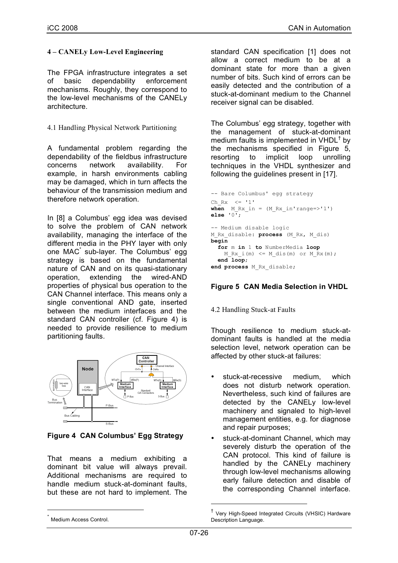## **4 – CANELy Low-Level Engineering**

The FPGA infrastructure integrates a set of basic dependability enforcement mechanisms. Roughly, they correspond to the low-level mechanisms of the CANELy architecture.

4.1 Handling Physical Network Partitioning

A fundamental problem regarding the dependability of the fieldbus infrastructure concerns network availability. For example, in harsh environments cabling may be damaged, which in turn affects the behaviour of the transmission medium and therefore network operation.

In [8] a Columbus' egg idea was devised to solve the problem of CAN network availability, managing the interface of the different media in the PHY layer with only one MAC\* sub-layer. The Columbus' egg strategy is based on the fundamental nature of CAN and on its quasi-stationary operation, extending the wired-AND properties of physical bus operation to the CAN Channel interface. This means only a single conventional AND gate, inserted between the medium interfaces and the standard CAN controller (cf. Figure 4) is needed to provide resilience to medium partitioning faults.



**Figure 4 CAN Columbus' Egg Strategy**

That means a medium exhibiting a dominant bit value will always prevail. Additional mechanisms are required to handle medium stuck-at-dominant faults, but these are not hard to implement. The standard CAN specification [1] does not allow a correct medium to be at a dominant state for more than a given number of bits. Such kind of errors can be easily detected and the contribution of a stuck-at-dominant medium to the Channel receiver signal can be disabled.

The Columbus' egg strategy, together with the management of stuck-at-dominant medium faults is implemented in  $VHDL<sup>†</sup>$  by the mechanisms specified in Figure 5, resorting to implicit loop unrolling techniques in the VHDL synthesizer and following the guidelines present in [17].

```
-- Bare Columbus' egg strategy
Ch Rx \leq 1'when M Rx in = (M Rx in'range=>'1')
else '0';
-- Medium disable logic
M_Rx_disable: process (M_Rx, M_dis)
begin
   for m in 1 to NumberMedia loop
   M Rx i(m) \leq M dis(m) or M Rx(m);
   end loop; 
end process M_Rx_disable;
```
# **Figure 5 CAN Media Selection in VHDL**

#### 4.2 Handling Stuck-at Faults

Though resilience to medium stuck-atdominant faults is handled at the media selection level, network operation can be affected by other stuck-at failures:

- stuck-at-recessive medium, which does not disturb network operation. Nevertheless, such kind of failures are detected by the CANELy low-level machinery and signaled to high-level management entities, e.g. for diagnose and repair purposes;
- stuck-at-dominant Channel, which may severely disturb the operation of the CAN protocol. This kind of failure is handled by the CANELy machinery through low-level mechanisms allowing early failure detection and disable of the corresponding Channel interface.

 <sup>†</sup> Very High-Speed Integrated Circuits (VHSIC) Hardware Description Language.

Medium Access Control.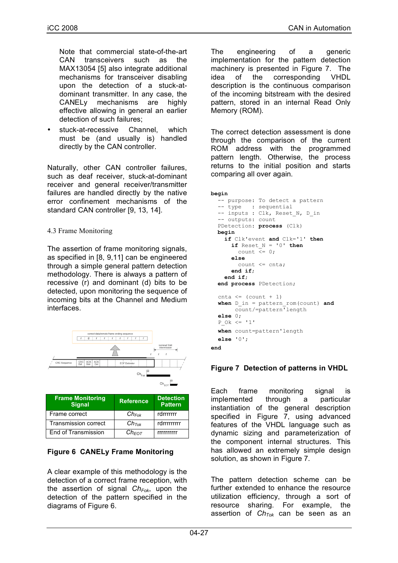Note that commercial state-of-the-art CAN transceivers such as the MAX13054 [5] also integrate additional mechanisms for transceiver disabling upon the detection of a stuck-atdominant transmitter. In any case, the CANELy mechanisms are highly effective allowing in general an earlier detection of such failures;

stuck-at-recessive Channel, which must be (and usually is) handled directly by the CAN controller.

Naturally, other CAN controller failures, such as deaf receiver, stuck-at-dominant receiver and general receiver/transmitter failures are handled directly by the native error confinement mechanisms of the standard CAN controller [9, 13, 14].

#### 4.3 Frame Monitoring

The assertion of frame monitoring signals, as specified in [8, 9,11] can be engineered through a simple general pattern detection methodology. There is always a pattern of recessive (r) and dominant (d) bits to be detected, upon monitoring the sequence of incoming bits at the Channel and Medium interfaces.



| <b>Frame Monitoring</b><br><b>Signal</b> | <b>Reference</b>  | <b>Detection</b><br><b>Pattern</b> |
|------------------------------------------|-------------------|------------------------------------|
| Frame correct                            | $Ch_{Fok}$        | rdrrrrrrr                          |
| <b>Transmission correct</b>              | Ch <sub>Tok</sub> | rdrrrrrrrrr                        |
| End of Transmission                      | $Ch$ Fo $\tau$    | rrrrrrrrr                          |

# **Figure 6 CANELy Frame Monitoring**

A clear example of this methodology is the detection of a correct frame reception, with the assertion of signal *Ch<sub>Fok</sub>*, upon the detection of the pattern specified in the diagrams of Figure 6.

The engineering of a generic implementation for the pattern detection machinery is presented in Figure 7. The idea of the corresponding VHDL description is the continuous comparison of the incoming bitstream with the desired pattern, stored in an internal Read Only Memory (ROM).

The correct detection assessment is done through the comparison of the current ROM address with the programmed pattern length. Otherwise, the process returns to the initial position and starts comparing all over again.

```
begin
   -- purpose: To detect a pattern
 -- type : sequential
-- inputs : Clk, Reset N, D in
   -- outputs: count
   PDetection: process (Clk)
   begin
     if Clk'event and Clk='1' then
      if Reset N = '0' then
        count \overline{\left(1,0\right)} else
         count <= cnta;
       end if;
     end if;
   end process PDetection;
  cnta \leq (count + 1)
  when D_in = pattern_rom(count) and
        count/=pattern'length
  else 0;
  P Ok \leq '1'
  when count=pattern'length
  else '0';
end
```
# **Figure 7 Detection of patterns in VHDL**

Each frame monitoring signal is implemented through a particular instantiation of the general description specified in Figure 7, using advanced features of the VHDL language such as dynamic sizing and parameterization of the component internal structures. This has allowed an extremely simple design solution, as shown in Figure 7.

The pattern detection scheme can be further extended to enhance the resource utilization efficiency, through a sort of resource sharing. For example, the assertion of  $Ch<sub>Tok</sub>$  can be seen as an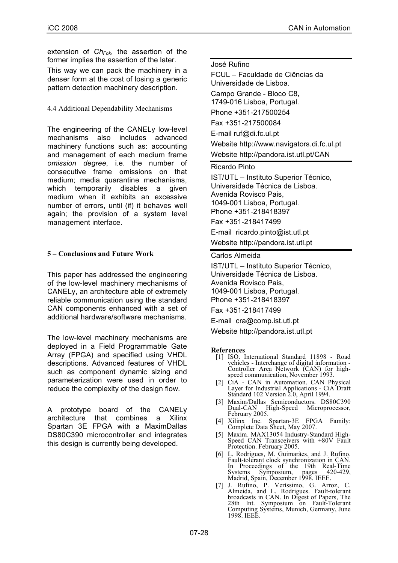extension of *Ch<sub>Fok*</sub>, the assertion of the former implies the assertion of the later.

This way we can pack the machinery in a denser form at the cost of losing a generic pattern detection machinery description.

## 4.4 Additional Dependability Mechanisms

The engineering of the CANELy low-level mechanisms also includes advanced machinery functions such as: accounting and management of each medium frame *omission degree*, i.e. the number of consecutive frame omissions on that medium; media quarantine mechanisms, which temporarily disables a given medium when it exhibits an excessive number of errors, until (if) it behaves well again; the provision of a system level management interface.

# **5 – Conclusions and Future Work**

This paper has addressed the engineering of the low-level machinery mechanisms of CANELy, an architecture able of extremely reliable communication using the standard CAN components enhanced with a set of additional hardware/software mechanisms.

The low-level machinery mechanisms are deployed in a Field Programmable Gate Array (FPGA) and specified using VHDL descriptions. Advanced features of VHDL such as component dynamic sizing and parameterization were used in order to reduce the complexity of the design flow.

A prototype board of the CANELy architecture that combines a Xilinx Spartan 3E FPGA with a MaximDallas DS80C390 microcontroller and integrates this design is currently being developed.

#### José Rufino

FCUL – Faculdade de Ciências da Universidade de Lisboa.

Campo Grande - Bloco C8, 1749-016 Lisboa, Portugal.

Phone +351-217500254 Fax +351-217500084

E-mail ruf@di.fc.ul.pt Website http://www.navigators.di.fc.ul.pt Website http://pandora.ist.utl.pt/CAN

Ricardo Pinto

IST/UTL – Instituto Superior Técnico, Universidade Técnica de Lisboa. Avenida Rovisco Pais, 1049-001 Lisboa, Portugal. Phone +351-218418397

Fax +351-218417499

E-mail ricardo.pinto@ist.utl.pt

Website http://pandora.ist.utl.pt

#### Carlos Almeida

IST/UTL – Instituto Superior Técnico, Universidade Técnica de Lisboa. Avenida Rovisco Pais, 1049-001 Lisboa, Portugal. Phone +351-218418397

Fax +351-218417499

E-mail cra@comp.ist.utl.pt

Website http://pandora.ist.utl.pt

#### **References**

- [1] ISO. International Standard 11898 Road Controller Area Network (CAN) for high-<br>speed communication, November 1993.
- [2] CiA CAN in Automation. CAN Physical Layer for Industrial Applications - CiA Draft Standard 102 Version 2.0, April 1994.
- [3] Maxim/Dallas Semiconductors. DS80C390 February 2005.
- [4] Xilinx Inc. Spartan-3E FPGA Family: Complete Data Sheet, May 2007.
- [5] Maxim. MAX13054 Industry-Standard High- Speed CAN Transceivers with ±80V Fault Protection. February 2005.
- [6] L. Rodrigues, M. Guimarães, and J. Rufino. Fault-tolerant clock synchronization in CAN. In Proceedings of the 19th Real-Time Systems Symposium, pages 42-Madrid, Spain, December 1998. IEEE.
- [7] J. Rufino, P. Veríssimo, G. Arroz, C. Almeida, and L. Rodrigues. Fault-tolerant broadcasts in CAN. In Digest of Papers, The 28th Int. Symposium on Fault-Tolerant Computing Systems, Munich, Germany, June 1998. IEEE.